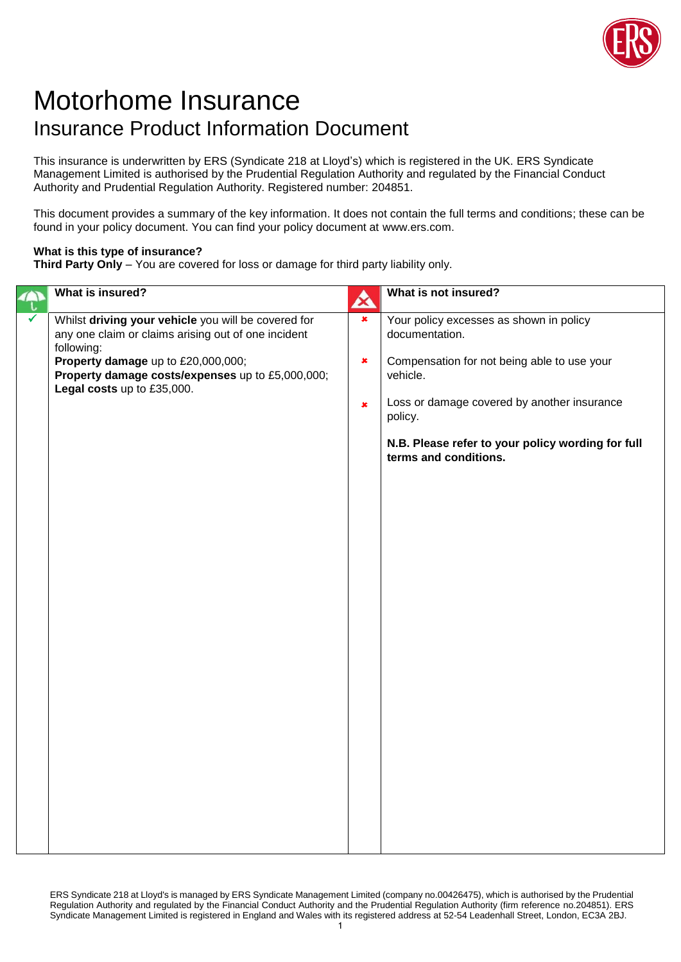

## Motorhome Insurance Insurance Product Information Document

This insurance is underwritten by ERS (Syndicate 218 at Lloyd's) which is registered in the UK. ERS Syndicate Management Limited is authorised by the Prudential Regulation Authority and regulated by the Financial Conduct Authority and Prudential Regulation Authority. Registered number: 204851.

This document provides a summary of the key information. It does not contain the full terms and conditions; these can be found in your policy document. You can find your policy document at www.ers.com.

## **What is this type of insurance?**

**Third Party Only** – You are covered for loss or damage for third party liability only.

| What is insured?                                                                                                         | $\boldsymbol{\mathbf{\alpha}}$ | What is not insured?                                                       |
|--------------------------------------------------------------------------------------------------------------------------|--------------------------------|----------------------------------------------------------------------------|
| Whilst driving your vehicle you will be covered for<br>any one claim or claims arising out of one incident<br>following: | $\pmb{\times}$                 | Your policy excesses as shown in policy<br>documentation.                  |
| Property damage up to £20,000,000;<br>Property damage costs/expenses up to £5,000,000;<br>Legal costs up to £35,000.     | $\pmb{\times}$                 | Compensation for not being able to use your<br>vehicle.                    |
|                                                                                                                          | $\pmb{\times}$                 | Loss or damage covered by another insurance<br>policy.                     |
|                                                                                                                          |                                | N.B. Please refer to your policy wording for full<br>terms and conditions. |
|                                                                                                                          |                                |                                                                            |
|                                                                                                                          |                                |                                                                            |
|                                                                                                                          |                                |                                                                            |
|                                                                                                                          |                                |                                                                            |
|                                                                                                                          |                                |                                                                            |
|                                                                                                                          |                                |                                                                            |
|                                                                                                                          |                                |                                                                            |
|                                                                                                                          |                                |                                                                            |
|                                                                                                                          |                                |                                                                            |